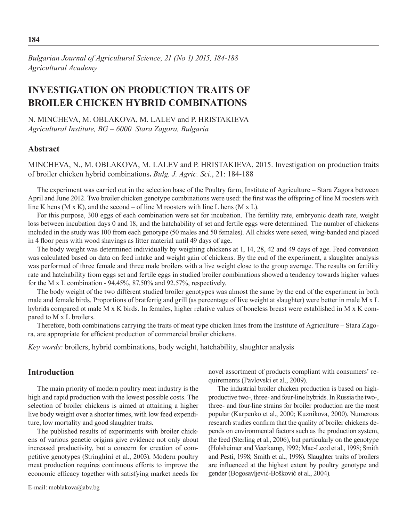*Bulgarian Journal of Agricultural Science, 21 (No 1) 2015, 184-188 Agricultural Academy*

# **INVESTIGATION ON PRODUCTION TRAITS OF BROILER CHICKEN HYBRID COMBINATIONS**

N. Mincheva, M. Oblakova, M. Lalev and P. Hristakieva *Agricultural Institute, BG – 6000 Stara Zagora, Bulgaria*

## **Abstract**

Mincheva, N., M. Oblakova, M. Lalev and P. Hristakieva, 2015. Investigation on production traits of broiler chicken hybrid combinations**.** *Bulg. J. Agric. Sci.*, 21: 184-188

The experiment was carried out in the selection base of the Poultry farm, Institute of Agriculture – Stara Zagora between April and June 2012. Two broiler chicken genotype combinations were used: the first was the offspring of line M roosters with line K hens (M x K), and the second – of line M roosters with line L hens (M x L).

For this purpose, 300 eggs of each combination were set for incubation. The fertility rate, embryonic death rate, weight loss between incubation days 0 and 18, and the hatchability of set and fertile eggs were determined. The number of chickens included in the study was 100 from each genotype (50 males and 50 females). All chicks were sexed, wing-banded and placed in 4 floor pens with wood shavings as litter material until 49 days of age**.**

The body weight was determined individually by weighing chickens at 1, 14, 28, 42 and 49 days of age. Feed conversion was calculated based on data on feed intake and weight gain of chickens. By the end of the experiment, a slaughter analysis was performed of three female and three male broilers with a live weight close to the group average. The results on fertility rate and hatchability from eggs set and fertile eggs in studied broiler combinations showed a tendency towards higher values for the M x L combination -  $94.45\%$ , 87.50% and 92.57%, respectively.

The body weight of the two different studied broiler genotypes was almost the same by the end of the experiment in both male and female birds. Proportions of bratfertig and grill (as percentage of live weight at slaughter) were better in male M x L hybrids compared ot male M x K birds. In females, higher relative values of boneless breast were established in M x K compared to M x L broilers.

Therefore, both combinations carrying the traits of meat type chicken lines from the Institute of Agriculture – Stara Zagora, are appropriate for efficient production of commercial broiler chickens.

*Key words:* broilers, hybrid combinations, body weight, hatchability, slaughter analysis

## **Introduction**

The main priority of modern poultry meat industry is the high and rapid production with the lowest possible costs. The selection of broiler chickens is aimed at attaining a higher live body weight over a shorter times, with low feed expenditure, low mortality and good slaughter traits.

The published results of experiments with broiler chickens of various genetic origins give evidence not only about increased productivity, but a concern for creation of competitive genotypes (Stringhini et al., 2003). Modern poultry meat production requires continuous efforts to improve the economic efficacy together with satisfying market needs for novel assortment of products compliant with consumers' requirements (Pavlovski et al., 2009).

The industrial broiler chicken production is based on highproductive two-, three- and four-line hybrids. In Russia the two-, three- and four-line strains for broiler production are the most popular (Karpenko et al., 2000; Kuznikova, 2000). Numerous research studies confirm that the quality of broiler chickens depends on environmental factors such as the production system, the feed (Sterling et al., 2006), but particularly on the genotype (Holsheimer and Veerkamp, 1992; Mac-Leod et al., 1998; Smith and Pesti, 1998; Smith et al., 1998). Slaughter traits of broilers are influenced at the highest extent by poultry genotype and gender (Bogosavljević-Bošković et al., 2004).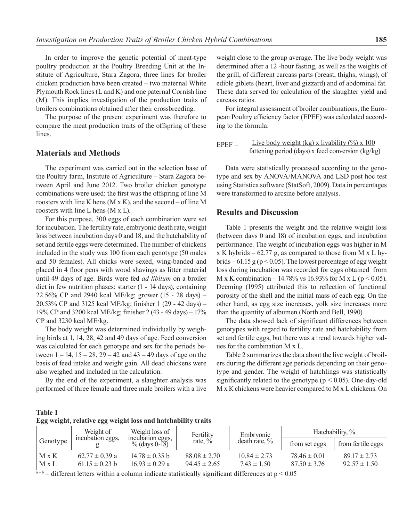In order to improve the genetic potential of meat-type poultry production at the Poultry Breeding Unit at the Institute of Agriculture, Stara Zagora, three lines for broiler chicken production have been created – two maternal White Plymouth Rock lines (L and K) and one paternal Cornish line (M). This implies investigation of the production traits of broilers combinations obtained after their crossbreeding.

The purpose of the present experiment was therefore to compare the meat production traits of the offspring of these lines.

## **Materials and Methods**

The experiment was carried out in the selection base of the Poultry farm, Institute of Agriculture – Stara Zagora between April and June 2012. Two broiler chicken genotype combinations were used: the first was the offspring of line M roosters with line K hens  $(M \times K)$ , and the second – of line M roosters with line L hens (M x L).

For this purpose, 300 eggs of each combination were set for incubation. The fertility rate, embryonic death rate, weight loss between incubation days 0 and 18, and the hatchability of set and fertile eggs were determined. The number of chickens included in the study was 100 from each genotype (50 males and 50 females). All chicks were sexed, wing-banded and placed in 4 floor pens with wood shavings as litter material until 49 days of age. Birds were fed *ad libitum* on a broiler diet in few nutrition phases: starter (1 - 14 days), containing 22.56% CP and 2940 kcal ME/kg; grower (15 - 28 days) – 20.53% CP and 3125 kcal ME/kg; finisher 1 (29 - 42 days) – 19% CP and 3200 kcal ME/kg; finisher 2 (43 - 49 days) – 17% CP and 3230 kcal ME/kg.

The body weight was determined individually by weighing birds at 1, 14, 28, 42 and 49 days of age. Feed conversion was calculated for each genotype and sex for the periods between  $1 - 14$ ,  $15 - 28$ ,  $29 - 42$  and  $43 - 49$  days of age on the basis of feed intake and weight gain. All dead chickens were also weighed and included in the calculation.

By the end of the experiment, a slaughter analysis was performed of three female and three male broilers with a live

weight close to the group average. The live body weight was determined after a 12 -hour fasting, as well as the weights of the grill, of different carcass parts (breast, thighs, wings), of edible giblets (heart, liver and gizzard) and of abdominal fat. These data served for calculation of the slaughter yield and carcass ratios.

For integral assessment of broiler combinations, the European Poultry efficiency factor (EPEF) was calculated according to the formula:

EPEF = Live body weight (kg) x livability  $\frac{\%}{\%} \times 100$ fattening period (days) х feed conversion (kg/kg)

Data were statistically processed according to the genotype and sex by ANOVA/MANOVA and LSD post hoc test using Statistica software (StatSoft, 2009). Data in percentages were transformed to arcsine before analysis.

## **Results and Discussion**

Table 1 presents the weight and the relative weight loss (between days 0 and 18) of incubation eggs, and incubation performance. The weight of incubation eggs was higher in M  $x K$  hybrids – 62.77 g, as compared to those from M  $x L$  hybrids – 61.15 g ( $p < 0.05$ ). The lowest percentage of egg weight loss during incubation was recorded for eggs obtained from M x K combination – 14.78% vs 16.93% for M x L ( $p < 0.05$ ). Deeming (1995) attributed this to reflection of functional porosity of the shell and the initial mass of each egg. On the other hand, as egg size increases, yolk size increases more than the quantity of albumen (North and Bell, 1990)

The data showed lack of significant differences between genotypes with regard to fertility rate and hatchability from set and fertile eggs, but there was a trend towards higher values for the combination М х L.

Table 2 summarizes the data about the live weight of broilers during the different age periods depending on their genotype and gender. The weight of hatchlings was statistically significantly related to the genotype ( $p < 0.05$ ). One-day-old М х К chickens were heavier compared to M x L chickens. On

| Table 1                                                      |  |  |
|--------------------------------------------------------------|--|--|
| Egg weight, relative egg weight loss and hatchability traits |  |  |

|                | Weight of                                | Weight loss of                           | Embryonic                            |                                     | Fertility                            |                                      | Hatchability, % |
|----------------|------------------------------------------|------------------------------------------|--------------------------------------|-------------------------------------|--------------------------------------|--------------------------------------|-----------------|
| Genotype       | incubation eggs,                         | incubation eggs,<br>% (days $0-18$ )     | rate, $\%$                           | death rate, $\%$                    | from set eggs                        | from fertile eggs                    |                 |
| M x K<br>M x L | $62.77 \pm 0.39$ a<br>$61.15 \pm 0.23$ b | $14.78 \pm 0.35$ b<br>$16.93 \pm 0.29$ a | $88.08 \pm 2.70$<br>$94.45 \pm 2.65$ | $10.84 \pm 2.73$<br>$7.43 \pm 1.50$ | $78.46 \pm 0.01$<br>$87.50 \pm 3.76$ | $89.17 \pm 2.73$<br>$92.57 \pm 1.50$ |                 |

 $a-b$  – different letters within a column indicate statistically significant differences at  $p < 0.05$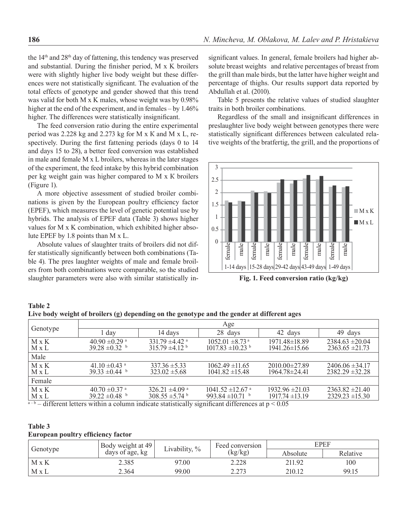the 14th and 28th day of fattening, this tendency was preserved and substantial. During the finisher period, M x K broilers were with slightly higher live body weight but these differences were not statistically significant. The evaluation of the total effects of genotype and gender showed that this trend was valid for both M x K males, whose weight was by 0.98% higher at the end of the experiment, and in females – by 1.46% higher. The differences were statistically insignificant.

The feed conversion ratio during the entire experimental period was 2.228 kg and 2.273 kg for М х К and M x L, respectively. During the first fattening periods (days 0 to 14 and days 15 to 28), a better feed conversion was established in male and female M x L broilers, whereas in the later stages of the experiment, the feed intake by this hybrid combination per kg weight gain was higher compared to М х К broilers (Figure 1).

A more objective assessment of studied broiler combinations is given by the European poultry efficiency factor (EPEF), which measures the level of genetic potential use by hybrids. The analysis of EPEF data (Table 3) shows higher values for M x K combination, which exhibited higher absolute EPEF by 1.8 points than М х L.

Absolute values of slaughter traits of broilers did not differ statistically significantly between both combinations (Table 4). The pres laughter weights of male and female broilers from both combinations were comparable, so the studied slaughter parameters were also with similar statistically insignificant values. In general, female broilers had higher absolute breast weights and relative percentages of breast from the grill than male birds, but the latter have higher weight and percentage of thighs. Our results support data reported by Abdullah et al. (2010).

Table 5 presents the relative values of studied slaughter traits in both broiler combinations.

Regardless of the small and insignificant differences in preslaughter live body weight between genotypes there were statistically significant differences between calculated relative weights of the bratfertig, the grill, and the proportions of



**Fig. 1. Feed conversion ratio (kg/kg)**

#### **Table 2 Live body weight of broilers (g) depending on the genotype and the gender at different ages**

| Age                                               |                                                              |                                                                      |                                            |                                                                                                                    |  |  |  |  |
|---------------------------------------------------|--------------------------------------------------------------|----------------------------------------------------------------------|--------------------------------------------|--------------------------------------------------------------------------------------------------------------------|--|--|--|--|
| 1 dav                                             | 14 days                                                      | 28 days                                                              | 42 days                                    | 49 days                                                                                                            |  |  |  |  |
| $40.90 \pm 0.29$ <sup>a</sup><br>$39.28 \pm 0.32$ | 331.79 $\pm$ 4.42 $\mathrm{^a}$<br>$315.79 \pm 4.12^{\circ}$ | $1052.01 \pm 8.73$ <sup>a</sup><br>$1017.83 \pm 10.23$               | 1971.48±18.89<br>$1941.26 \pm 15.66$       | $2384.63 \pm 20.04$<br>$2363.65 \pm 21.73$                                                                         |  |  |  |  |
|                                                   |                                                              |                                                                      |                                            |                                                                                                                    |  |  |  |  |
| 41.10 $\pm$ 0.43 <sup>a</sup><br>$39.33 \pm 0.44$ | $337.36 \pm 5.33$<br>$323.02 \pm 5.68$                       | $1062.49 \pm 11.65$<br>$1041.82 \pm 15.48$                           | $2010.00 \pm 27.89$<br>1964.78±24.41       | $2406.06 \pm 34.17$<br>$2382.29 \pm 32.28$                                                                         |  |  |  |  |
|                                                   |                                                              |                                                                      |                                            |                                                                                                                    |  |  |  |  |
| $40.70 \pm 0.37$ <sup>a</sup><br>$39.22 \pm 0.48$ | 326.21 $\pm 4.09$ <sup>a</sup><br>$308.55 \pm 5.74$          | $1041.52 \pm 12.67$ <sup>a</sup><br>993.84 $\pm$ 10.71 $\frac{1}{2}$ | $1932.96 \pm 21.03$<br>$1917.74 \pm 13.19$ | $2363.82 \pm 21.40$<br>$2329.23 \pm 15.30$                                                                         |  |  |  |  |
|                                                   |                                                              |                                                                      |                                            | $a-b=1.00$ and $1.00$ and $1.00$ and $1.00$ and $1.00$ and $1.00$ and $1.00$ and $1.00$ and $1.00$ and $\geq 0.05$ |  |  |  |  |

 $-$  different letters within a column indicate statistically significant differences at  $p \leq 0.05$ 

## **Table 3**

|  |  | European poultry efficiency factor |  |
|--|--|------------------------------------|--|
|--|--|------------------------------------|--|

| Genotype     | Body weight at 49<br>days of age, kg | Livability, $\%$ | Feed conversion | EPEF     |          |  |
|--------------|--------------------------------------|------------------|-----------------|----------|----------|--|
|              |                                      |                  | (kg/kg)         | Absolute | Relative |  |
| $M \times K$ | 2.385                                | 97.00            | 2.228           | 211.92   | 100      |  |
| M x L        | 2.364                                | 99.00            | 2.273           | 210.12   | 99.15    |  |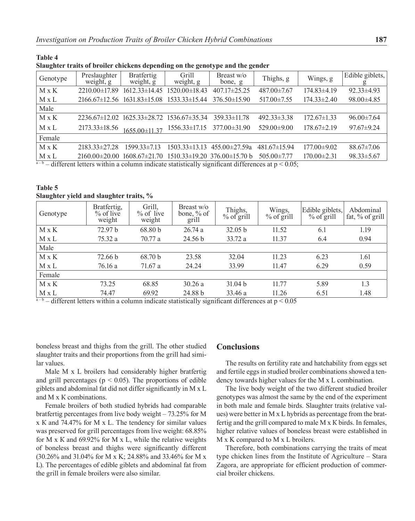| oraughter trans of broner emercies aepending on the genotype and the genuer |                                         |                                           |                     |                                       |                   |                   |                  |  |
|-----------------------------------------------------------------------------|-----------------------------------------|-------------------------------------------|---------------------|---------------------------------------|-------------------|-------------------|------------------|--|
| Genotype                                                                    | Preslaughter<br>weight, g               | <b>Bratfertig</b><br>weight, $\bar{g}$    | Grill<br>weight, g  | Breast w/o<br>bone, g                 | Thighs, g         | Wings, g          | Edible giblets,  |  |
| $M \times K$                                                                | $2210.00 \pm 17.89$                     | $1612.33\pm14.45$                         | $1520.00 \pm 18.43$ | $407.17 \pm 25.25$                    | 487.00±7.67       | $174.83\pm4.19$   | $92.33 \pm 4.93$ |  |
| M x L                                                                       | $2166.67 \pm 12.56$ $1631.83 \pm 15.08$ |                                           | $1533.33 \pm 15.44$ | $376.50\pm15.90$                      | $517.00 \pm 7.55$ | $174.33 \pm 2.40$ | $98.00 \pm 4.85$ |  |
| Male                                                                        |                                         |                                           |                     |                                       |                   |                   |                  |  |
| $M \times K$                                                                |                                         | 2236.67±12.02 1625.33±28.72 1536.67±35.34 |                     | $359.33\pm11.78$                      | $492.33 \pm 3.38$ | $172.67\pm1.33$   | $96.00 \pm 7.64$ |  |
| M x L                                                                       | $2173.33\pm18.56$                       | $165500\pm1137$                           | $1556.33\pm17.15$   | $377.00 \pm 31.90$                    | $529.00 \pm 9.00$ | $178.67 \pm 2.19$ | $97.67 \pm 9.24$ |  |
| Female                                                                      |                                         |                                           |                     |                                       |                   |                   |                  |  |
| $M \times K$                                                                | $2183.33\pm27.28$                       | $1599.33\pm7.13$                          |                     | $1503.33\pm13.13$ $455.00\pm27.59a$   | $481.67\pm15.94$  | $177.00 \pm 9.02$ | $88.67 \pm 7.06$ |  |
| M x L                                                                       | $2160.00\pm20.00$                       | $1608.67 \pm 21.70$                       |                     | $1510.33\pm19.20$ 376.00 $\pm15.70$ b | $505.00 \pm 7.77$ | $170.00 \pm 2.31$ | $98.33 \pm 5.67$ |  |
|                                                                             |                                         |                                           |                     |                                       |                   |                   |                  |  |

 $-$  different letters within a column indicate statistically significant differences at  $p \le 0.05$ ;

### **Table 5 Slaughter yield and slaughter traits, %**

**Table 4** 

| Genotype          | Bratfertig,<br>$%$ of live<br>weight | Grill,<br>$%$ of live<br>weight | Breast w/o<br>bone, % of<br>grill | Thighs,<br>$%$ of grill | Wings,<br>$%$ of grill | Edible giblets,<br>$%$ of grill | Abdominal<br>fat, $\%$ of grill |
|-------------------|--------------------------------------|---------------------------------|-----------------------------------|-------------------------|------------------------|---------------------------------|---------------------------------|
| $M \times K$      | 72.97 b                              | 68.80 b                         | 26.74a                            | 32.05 b                 | 11.52                  | 6.1                             | 1.19                            |
| $M \times L$      | 75.32 a                              | 70.77 a                         | 24.56 b                           | 33.72 a                 | 11.37                  | 6.4                             | 0.94                            |
| Male              |                                      |                                 |                                   |                         |                        |                                 |                                 |
| $M \times K$      | 72.66 b                              | 68.70 b                         | 23.58                             | 32.04                   | 11.23                  | 6.23                            | 1.61                            |
| M x L             | 76.16 a                              | 71.67 a                         | 24.24                             | 33.99                   | 11.47                  | 6.29                            | 0.59                            |
| Female            |                                      |                                 |                                   |                         |                        |                                 |                                 |
| $M \times K$      | 73.25                                | 68.85                           | 30.26a                            | 31.04 b                 | 11.77                  | 5.89                            | 1.3                             |
| M x L<br>$\cdots$ | 74.47<br>$\cdot$ $\cdot$             | 69.92                           | 24.88 b                           | 33.46 a                 | 11.26                  | 6.51                            | 1.48                            |

 $a-b$  – different letters within a column indicate statistically significant differences at  $p < 0.05$ 

boneless breast and thighs from the grill. The other studied slaughter traits and their proportions from the grill had similar values.

Male M x L broilers had considerably higher bratfertig and grill percentages ( $p < 0.05$ ). The proportions of edible giblets and abdominal fat did not differ significantly in М х L and М х К combinations.

Female broilers of both studied hybrids had comparable bratfertig percentages from live body weight – 73.25% for М х К and 74.47% for М х L. The tendency for similar values was preserved for grill percentages from live weight: 68.85% for M x K and 69.92% for M x L, while the relative weights of boneless breast and thighs were significantly different (30.26% and 31.04% for M x K; 24.88% and 33.46% for M x L). The percentages of edible giblets and abdominal fat from the grill in female broilers were also similar.

## **Conclusions**

The results on fertility rate and hatchability from eggs set and fertile eggs in studied broiler combinations showed a tendency towards higher values for the М х L combination.

The live body weight of the two different studied broiler genotypes was almost the same by the end of the experiment in both male and female birds. Slaughter traits (relative values) were better in М х L hybrids as percentage from the bratfertig and the grill compared to male М х К birds. In females, higher relative values of boneless breast were established in M x K compared to M x L broilers.

Therefore, both combinations carrying the traits of meat type chicken lines from the Institute of Agriculture – Stara Zagora, are appropriate for efficient production of commercial broiler chickens.